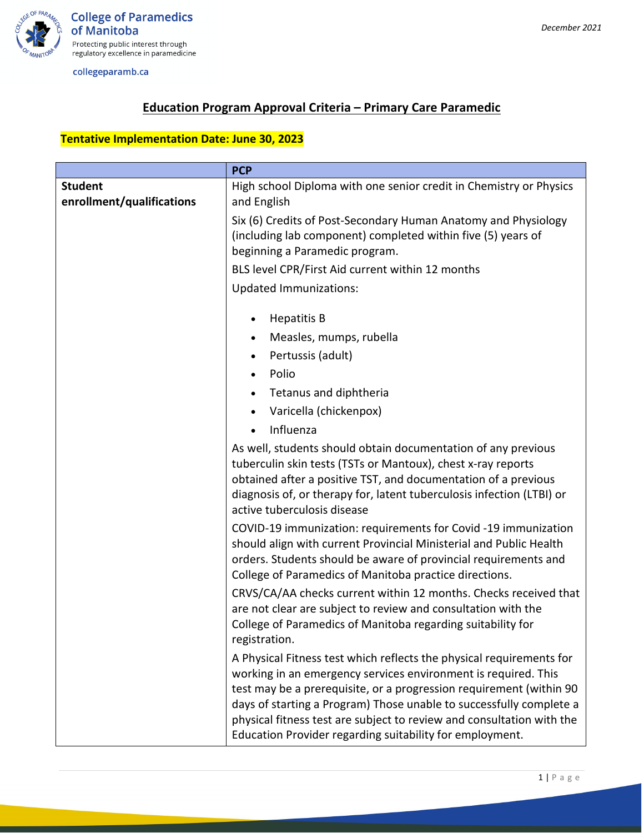

## **Education Program Approval Criteria – Primary Care Paramedic**

## **Tentative Implementation Date: June 30, 2023**

|                                             | <b>PCP</b>                                                                                                                                                                                                                                                                                                                                                                                                                |  |
|---------------------------------------------|---------------------------------------------------------------------------------------------------------------------------------------------------------------------------------------------------------------------------------------------------------------------------------------------------------------------------------------------------------------------------------------------------------------------------|--|
| <b>Student</b><br>enrollment/qualifications | High school Diploma with one senior credit in Chemistry or Physics<br>and English                                                                                                                                                                                                                                                                                                                                         |  |
|                                             | Six (6) Credits of Post-Secondary Human Anatomy and Physiology<br>(including lab component) completed within five (5) years of<br>beginning a Paramedic program.                                                                                                                                                                                                                                                          |  |
|                                             | BLS level CPR/First Aid current within 12 months                                                                                                                                                                                                                                                                                                                                                                          |  |
|                                             | <b>Updated Immunizations:</b>                                                                                                                                                                                                                                                                                                                                                                                             |  |
|                                             | <b>Hepatitis B</b>                                                                                                                                                                                                                                                                                                                                                                                                        |  |
|                                             | Measles, mumps, rubella                                                                                                                                                                                                                                                                                                                                                                                                   |  |
|                                             | Pertussis (adult)                                                                                                                                                                                                                                                                                                                                                                                                         |  |
|                                             | Polio                                                                                                                                                                                                                                                                                                                                                                                                                     |  |
|                                             | Tetanus and diphtheria                                                                                                                                                                                                                                                                                                                                                                                                    |  |
|                                             | Varicella (chickenpox)                                                                                                                                                                                                                                                                                                                                                                                                    |  |
|                                             | Influenza<br>$\bullet$                                                                                                                                                                                                                                                                                                                                                                                                    |  |
|                                             | As well, students should obtain documentation of any previous<br>tuberculin skin tests (TSTs or Mantoux), chest x-ray reports<br>obtained after a positive TST, and documentation of a previous<br>diagnosis of, or therapy for, latent tuberculosis infection (LTBI) or<br>active tuberculosis disease                                                                                                                   |  |
|                                             | COVID-19 immunization: requirements for Covid -19 immunization<br>should align with current Provincial Ministerial and Public Health<br>orders. Students should be aware of provincial requirements and<br>College of Paramedics of Manitoba practice directions.                                                                                                                                                         |  |
|                                             | CRVS/CA/AA checks current within 12 months. Checks received that<br>are not clear are subject to review and consultation with the<br>College of Paramedics of Manitoba regarding suitability for<br>registration.                                                                                                                                                                                                         |  |
|                                             | A Physical Fitness test which reflects the physical requirements for<br>working in an emergency services environment is required. This<br>test may be a prerequisite, or a progression requirement (within 90<br>days of starting a Program) Those unable to successfully complete a<br>physical fitness test are subject to review and consultation with the<br>Education Provider regarding suitability for employment. |  |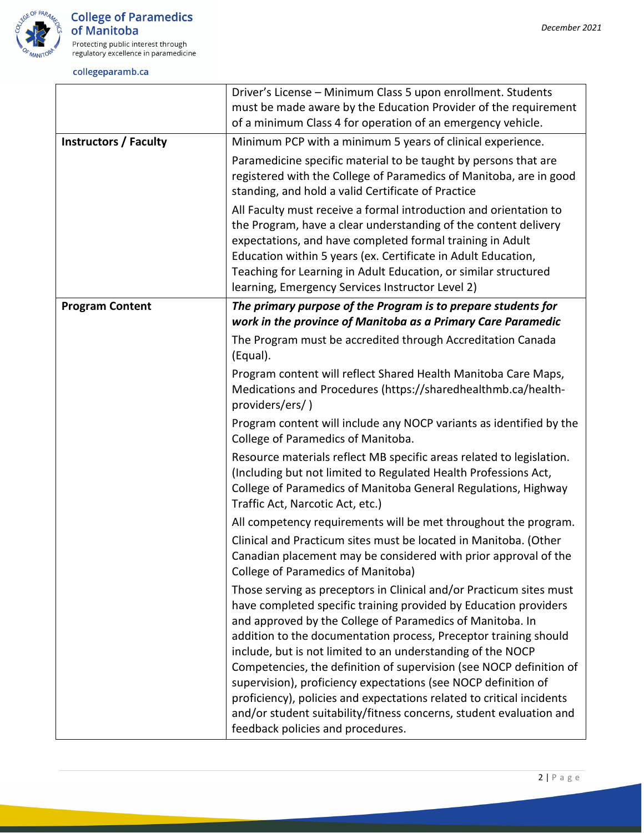

|                              | Driver's License - Minimum Class 5 upon enrollment. Students<br>must be made aware by the Education Provider of the requirement<br>of a minimum Class 4 for operation of an emergency vehicle.                                                                                                                                                                                                                                                                                                                                                                                                                                                                        |
|------------------------------|-----------------------------------------------------------------------------------------------------------------------------------------------------------------------------------------------------------------------------------------------------------------------------------------------------------------------------------------------------------------------------------------------------------------------------------------------------------------------------------------------------------------------------------------------------------------------------------------------------------------------------------------------------------------------|
| <b>Instructors / Faculty</b> | Minimum PCP with a minimum 5 years of clinical experience.                                                                                                                                                                                                                                                                                                                                                                                                                                                                                                                                                                                                            |
|                              | Paramedicine specific material to be taught by persons that are<br>registered with the College of Paramedics of Manitoba, are in good<br>standing, and hold a valid Certificate of Practice                                                                                                                                                                                                                                                                                                                                                                                                                                                                           |
|                              | All Faculty must receive a formal introduction and orientation to<br>the Program, have a clear understanding of the content delivery<br>expectations, and have completed formal training in Adult<br>Education within 5 years (ex. Certificate in Adult Education,<br>Teaching for Learning in Adult Education, or similar structured<br>learning, Emergency Services Instructor Level 2)                                                                                                                                                                                                                                                                             |
| <b>Program Content</b>       | The primary purpose of the Program is to prepare students for                                                                                                                                                                                                                                                                                                                                                                                                                                                                                                                                                                                                         |
|                              | work in the province of Manitoba as a Primary Care Paramedic                                                                                                                                                                                                                                                                                                                                                                                                                                                                                                                                                                                                          |
|                              | The Program must be accredited through Accreditation Canada<br>(Equal).                                                                                                                                                                                                                                                                                                                                                                                                                                                                                                                                                                                               |
|                              | Program content will reflect Shared Health Manitoba Care Maps,<br>Medications and Procedures (https://sharedhealthmb.ca/health-<br>providers/ers/)                                                                                                                                                                                                                                                                                                                                                                                                                                                                                                                    |
|                              | Program content will include any NOCP variants as identified by the<br>College of Paramedics of Manitoba.                                                                                                                                                                                                                                                                                                                                                                                                                                                                                                                                                             |
|                              | Resource materials reflect MB specific areas related to legislation.<br>(Including but not limited to Regulated Health Professions Act,<br>College of Paramedics of Manitoba General Regulations, Highway<br>Traffic Act, Narcotic Act, etc.)                                                                                                                                                                                                                                                                                                                                                                                                                         |
|                              | All competency requirements will be met throughout the program.                                                                                                                                                                                                                                                                                                                                                                                                                                                                                                                                                                                                       |
|                              | Clinical and Practicum sites must be located in Manitoba. (Other<br>Canadian placement may be considered with prior approval of the<br>College of Paramedics of Manitoba)                                                                                                                                                                                                                                                                                                                                                                                                                                                                                             |
|                              | Those serving as preceptors in Clinical and/or Practicum sites must<br>have completed specific training provided by Education providers<br>and approved by the College of Paramedics of Manitoba. In<br>addition to the documentation process, Preceptor training should<br>include, but is not limited to an understanding of the NOCP<br>Competencies, the definition of supervision (see NOCP definition of<br>supervision), proficiency expectations (see NOCP definition of<br>proficiency), policies and expectations related to critical incidents<br>and/or student suitability/fitness concerns, student evaluation and<br>feedback policies and procedures. |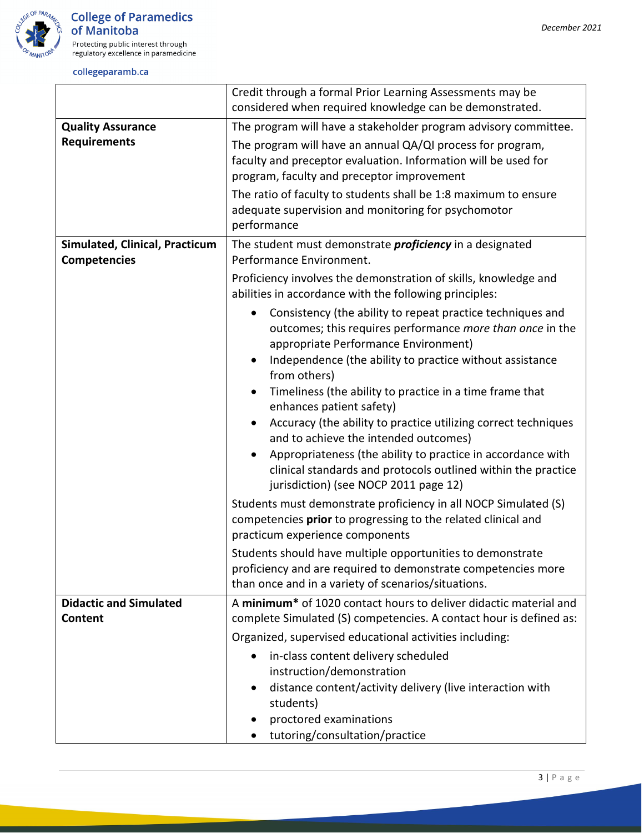

|                                                       | Credit through a formal Prior Learning Assessments may be<br>considered when required knowledge can be demonstrated.                                                               |
|-------------------------------------------------------|------------------------------------------------------------------------------------------------------------------------------------------------------------------------------------|
| <b>Quality Assurance</b>                              | The program will have a stakeholder program advisory committee.                                                                                                                    |
| <b>Requirements</b>                                   | The program will have an annual QA/QI process for program,<br>faculty and preceptor evaluation. Information will be used for<br>program, faculty and preceptor improvement         |
|                                                       | The ratio of faculty to students shall be 1:8 maximum to ensure<br>adequate supervision and monitoring for psychomotor<br>performance                                              |
| Simulated, Clinical, Practicum<br><b>Competencies</b> | The student must demonstrate <i>proficiency</i> in a designated<br>Performance Environment.                                                                                        |
|                                                       | Proficiency involves the demonstration of skills, knowledge and<br>abilities in accordance with the following principles:                                                          |
|                                                       | Consistency (the ability to repeat practice techniques and<br>outcomes; this requires performance more than once in the<br>appropriate Performance Environment)                    |
|                                                       | Independence (the ability to practice without assistance<br>from others)                                                                                                           |
|                                                       | Timeliness (the ability to practice in a time frame that<br>enhances patient safety)                                                                                               |
|                                                       | Accuracy (the ability to practice utilizing correct techniques<br>and to achieve the intended outcomes)                                                                            |
|                                                       | Appropriateness (the ability to practice in accordance with<br>clinical standards and protocols outlined within the practice<br>jurisdiction) (see NOCP 2011 page 12)              |
|                                                       | Students must demonstrate proficiency in all NOCP Simulated (S)<br>competencies prior to progressing to the related clinical and<br>practicum experience components                |
|                                                       | Students should have multiple opportunities to demonstrate<br>proficiency and are required to demonstrate competencies more<br>than once and in a variety of scenarios/situations. |
| <b>Didactic and Simulated</b><br>Content              | A minimum <sup>*</sup> of 1020 contact hours to deliver didactic material and<br>complete Simulated (S) competencies. A contact hour is defined as:                                |
|                                                       | Organized, supervised educational activities including:                                                                                                                            |
|                                                       | in-class content delivery scheduled<br>instruction/demonstration                                                                                                                   |
|                                                       | distance content/activity delivery (live interaction with<br>$\bullet$<br>students)                                                                                                |
|                                                       | proctored examinations<br>tutoring/consultation/practice                                                                                                                           |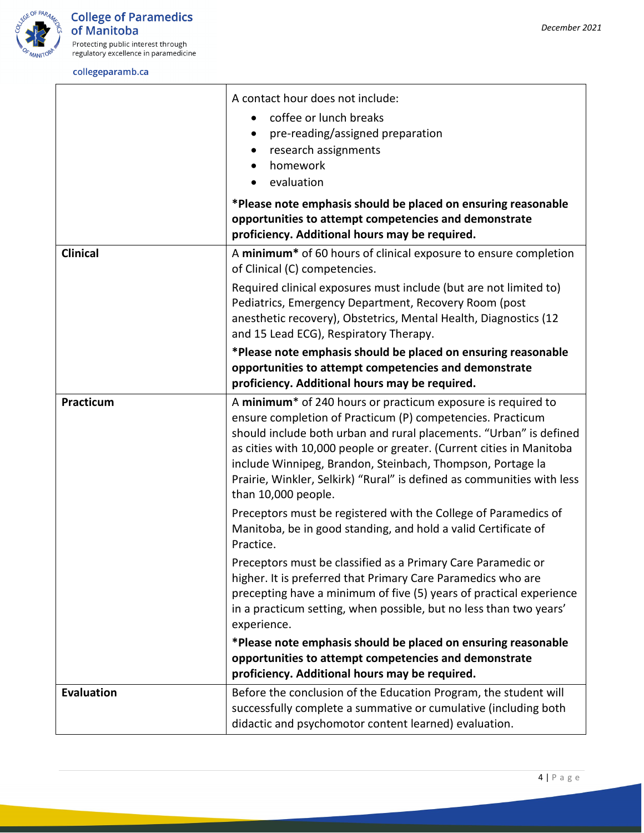

|                   | A contact hour does not include:<br>coffee or lunch breaks<br>pre-reading/assigned preparation<br>$\bullet$<br>research assignments<br>$\bullet$<br>homework<br>evaluation                                                                                                                                                                                                                                                                          |
|-------------------|-----------------------------------------------------------------------------------------------------------------------------------------------------------------------------------------------------------------------------------------------------------------------------------------------------------------------------------------------------------------------------------------------------------------------------------------------------|
|                   | *Please note emphasis should be placed on ensuring reasonable<br>opportunities to attempt competencies and demonstrate<br>proficiency. Additional hours may be required.                                                                                                                                                                                                                                                                            |
| <b>Clinical</b>   | A minimum <sup>*</sup> of 60 hours of clinical exposure to ensure completion<br>of Clinical (C) competencies.                                                                                                                                                                                                                                                                                                                                       |
|                   | Required clinical exposures must include (but are not limited to)<br>Pediatrics, Emergency Department, Recovery Room (post<br>anesthetic recovery), Obstetrics, Mental Health, Diagnostics (12<br>and 15 Lead ECG), Respiratory Therapy.                                                                                                                                                                                                            |
|                   | *Please note emphasis should be placed on ensuring reasonable<br>opportunities to attempt competencies and demonstrate<br>proficiency. Additional hours may be required.                                                                                                                                                                                                                                                                            |
| Practicum         | A minimum <sup>*</sup> of 240 hours or practicum exposure is required to<br>ensure completion of Practicum (P) competencies. Practicum<br>should include both urban and rural placements. "Urban" is defined<br>as cities with 10,000 people or greater. (Current cities in Manitoba<br>include Winnipeg, Brandon, Steinbach, Thompson, Portage la<br>Prairie, Winkler, Selkirk) "Rural" is defined as communities with less<br>than 10,000 people. |
|                   | Preceptors must be registered with the College of Paramedics of<br>Manitoba, be in good standing, and hold a valid Certificate of<br>Practice.                                                                                                                                                                                                                                                                                                      |
|                   | Preceptors must be classified as a Primary Care Paramedic or<br>higher. It is preferred that Primary Care Paramedics who are<br>precepting have a minimum of five (5) years of practical experience<br>in a practicum setting, when possible, but no less than two years'<br>experience.                                                                                                                                                            |
|                   | *Please note emphasis should be placed on ensuring reasonable<br>opportunities to attempt competencies and demonstrate<br>proficiency. Additional hours may be required.                                                                                                                                                                                                                                                                            |
| <b>Evaluation</b> | Before the conclusion of the Education Program, the student will<br>successfully complete a summative or cumulative (including both<br>didactic and psychomotor content learned) evaluation.                                                                                                                                                                                                                                                        |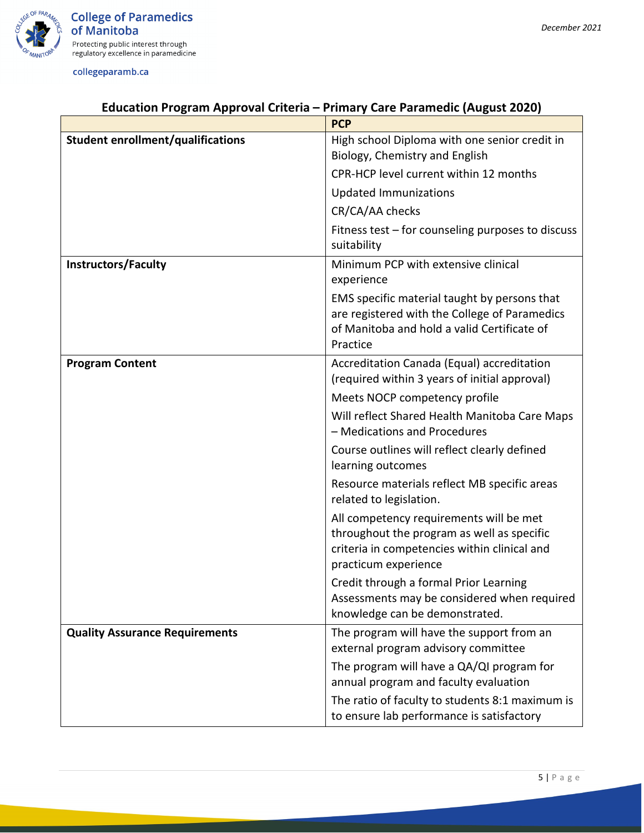

## **Education Program Approval Criteria – Primary Care Paramedic (August 2020)**

|                                          | <b>PCP</b>                                                                                                                                                    |
|------------------------------------------|---------------------------------------------------------------------------------------------------------------------------------------------------------------|
| <b>Student enrollment/qualifications</b> | High school Diploma with one senior credit in<br>Biology, Chemistry and English                                                                               |
|                                          |                                                                                                                                                               |
|                                          | CPR-HCP level current within 12 months                                                                                                                        |
|                                          | <b>Updated Immunizations</b>                                                                                                                                  |
|                                          | CR/CA/AA checks                                                                                                                                               |
|                                          | Fitness test – for counseling purposes to discuss<br>suitability                                                                                              |
| <b>Instructors/Faculty</b>               | Minimum PCP with extensive clinical<br>experience                                                                                                             |
|                                          | EMS specific material taught by persons that<br>are registered with the College of Paramedics<br>of Manitoba and hold a valid Certificate of<br>Practice      |
| <b>Program Content</b>                   | Accreditation Canada (Equal) accreditation<br>(required within 3 years of initial approval)                                                                   |
|                                          | Meets NOCP competency profile                                                                                                                                 |
|                                          | Will reflect Shared Health Manitoba Care Maps<br>- Medications and Procedures                                                                                 |
|                                          | Course outlines will reflect clearly defined<br>learning outcomes                                                                                             |
|                                          | Resource materials reflect MB specific areas<br>related to legislation.                                                                                       |
|                                          | All competency requirements will be met<br>throughout the program as well as specific<br>criteria in competencies within clinical and<br>practicum experience |
|                                          | Credit through a formal Prior Learning<br>Assessments may be considered when required<br>knowledge can be demonstrated.                                       |
| <b>Quality Assurance Requirements</b>    | The program will have the support from an<br>external program advisory committee                                                                              |
|                                          | The program will have a QA/QI program for<br>annual program and faculty evaluation                                                                            |
|                                          | The ratio of faculty to students 8:1 maximum is<br>to ensure lab performance is satisfactory                                                                  |